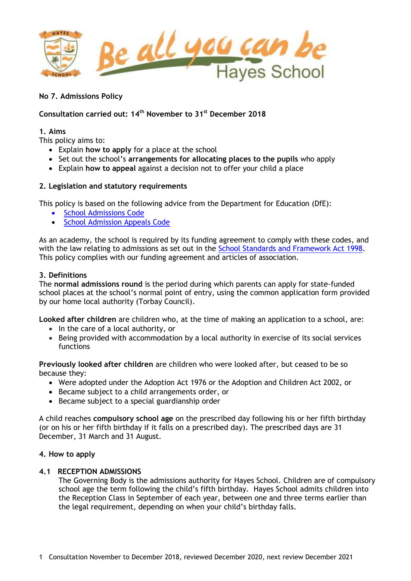

# **Consultation carried out: 14 th November to 31st December 2018**

## **1. Aims**

This policy aims to:

- Explain **how to apply** for a place at the school
- Set out the school's **arrangements for allocating places to the pupils** who apply
- Explain **how to appeal** against a decision not to offer your child a place

# **2. Legislation and statutory requirements**

This policy is based on the following advice from the Department for Education (DfE):

- [School Admissions Code](https://www.gov.uk/government/publications/school-admissions-code--2)
- [School Admission Appeals Code](https://www.gov.uk/government/publications/school-admissions-appeals-code)

As an academy, the school is required by its funding agreement to comply with these codes, and with the law relating to admissions as set out in the [School Standards and Framework Act 1998.](http://www.legislation.gov.uk/ukpga/1998/31/contents) This policy complies with our funding agreement and articles of association.

# **3. Definitions**

The **normal admissions round** is the period during which parents can apply for state-funded school places at the school's normal point of entry, using the common application form provided by our home local authority (Torbay Council).

**Looked after children** are children who, at the time of making an application to a school, are:

- $\bullet$  In the care of a local authority, or
- Being provided with accommodation by a local authority in exercise of its social services functions

**Previously looked after children** are children who were looked after, but ceased to be so because they:

- Were adopted under the Adoption Act 1976 or the Adoption and Children Act 2002, or
- Became subject to a child arrangements order, or
- Became subject to a special guardianship order

A child reaches **compulsory school age** on the prescribed day following his or her fifth birthday (or on his or her fifth birthday if it falls on a prescribed day). The prescribed days are 31 December, 31 March and 31 August.

# **4. How to apply**

# **4.1 RECEPTION ADMISSIONS**

The Governing Body is the admissions authority for Hayes School. Children are of compulsory school age the term following the child's fifth birthday. Hayes School admits children into the Reception Class in September of each year, between one and three terms earlier than the legal requirement, depending on when your child's birthday falls.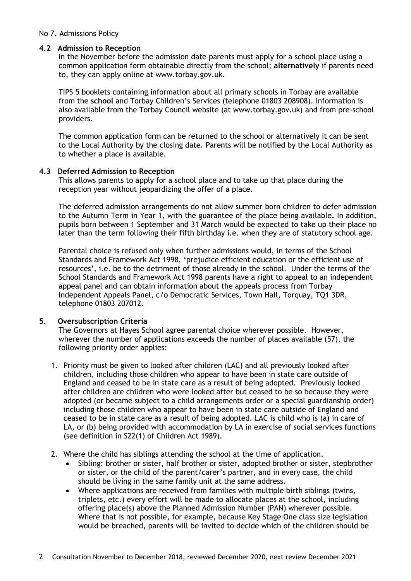## **4.2 Admission to Reception**

In the November before the admission date parents must apply for a school place using a common application form obtainable directly from the school; **alternatively** if parents need to, they can apply online at [www.torbay.gov.uk.](http://www.torbay.gov.uk/)

TIPS 5 booklets containing information about all primary schools in Torbay are available from the **school** and Torbay Children's Services (telephone 01803 208908). Information is also available from the Torbay Council website (at [www.torbay.gov.uk\)](http://www.torbay.gov.uk/) and from pre-school providers.

The common application form can be returned to the school or alternatively it can be sent to the Local Authority by the closing date. Parents will be notified by the Local Authority as to whether a place is available.

## **4.3 Deferred Admission to Reception**

This allows parents to apply for a school place and to take up that place during the reception year without jeopardizing the offer of a place.

The deferred admission arrangements do not allow summer born children to defer admission to the Autumn Term in Year 1, with the guarantee of the place being available. In addition, pupils born between 1 September and 31 March would be expected to take up their place no later than the term following their fifth birthday i.e. when they are of statutory school age.

Parental choice is refused only when further admissions would, in terms of the School Standards and Framework Act 1998, 'prejudice efficient education or the efficient use of resources', i.e. be to the detriment of those already in the school. Under the terms of the School Standards and Framework Act 1998 parents have a right to appeal to an independent appeal panel and can obtain information about the appeals process from Torbay Independent Appeals Panel, c/o Democratic Services, Town Hall, Torquay, TQ1 3DR, telephone 01803 207012.

# **5. Oversubscription Criteria**

The Governors at Hayes School agree parental choice wherever possible. However, wherever the number of applications exceeds the number of places available (57), the following priority order applies:

- 1. Priority must be given to looked after children (LAC) and all previously looked after children, including those children who appear to have been in state care outside of England and ceased to be in state care as a result of being adopted. Previously looked after children are children who were looked after but ceased to be so because they were adopted (or became subject to a child arrangements order or a special guardianship order) including those children who appear to have been in state care outside of England and ceased to be in state care as a result of being adopted. LAC is child who is (a) in care of LA, or (b) being provided with accommodation by LA in exercise of social services functions (see definition in S22(1) of Children Act 1989).
- 2. Where the child has siblings attending the school at the time of application.
	- Sibling: brother or sister, half brother or sister, adopted brother or sister, stepbrother or sister, or the child of the parent/carer's partner, and in every case, the child should be living in the same family unit at the same address.
	- Where applications are received from families with multiple birth siblings (twins, triplets, etc.) every effort will be made to allocate places at the school, including offering place(s) above the Planned Admission Number (PAN) wherever possible. Where that is not possible, for example, because Key Stage One class size legislation would be breached, parents will be invited to decide which of the children should be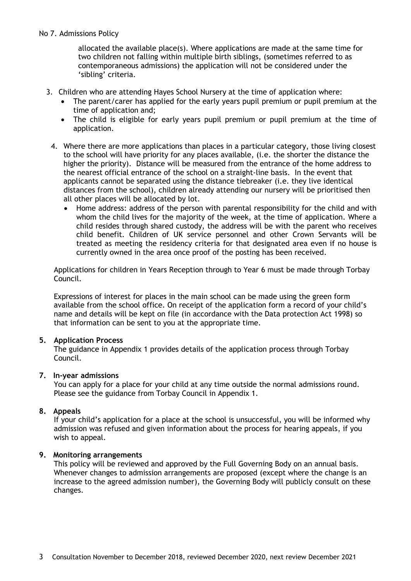allocated the available place(s). Where applications are made at the same time for two children not falling within multiple birth siblings, (sometimes referred to as contemporaneous admissions) the application will not be considered under the 'sibling' criteria.

- 3. Children who are attending Hayes School Nursery at the time of application where:
	- The parent/carer has applied for the early years pupil premium or pupil premium at the time of application and;
	- The child is eligible for early years pupil premium or pupil premium at the time of application.
	- 4. Where there are more applications than places in a particular category, those living closest to the school will have priority for any places available, (i.e. the shorter the distance the higher the priority). Distance will be measured from the entrance of the home address to the nearest official entrance of the school on a straight-line basis. In the event that applicants cannot be separated using the distance tiebreaker (i.e. they live identical distances from the school), children already attending our nursery will be prioritised then all other places will be allocated by lot.
		- Home address: address of the person with parental responsibility for the child and with whom the child lives for the majority of the week, at the time of application. Where a child resides through shared custody, the address will be with the parent who receives child benefit. Children of UK service personnel and other Crown Servants will be treated as meeting the residency criteria for that designated area even if no house is currently owned in the area once proof of the posting has been received.

Applications for children in Years Reception through to Year 6 must be made through Torbay Council.

Expressions of interest for places in the main school can be made using the green form available from the school office. On receipt of the application form a record of your child's name and details will be kept on file (in accordance with the Data protection Act 1998) so that information can be sent to you at the appropriate time.

# **5. Application Process**

The guidance in Appendix 1 provides details of the application process through Torbay Council.

# **7. In-year admissions**

You can apply for a place for your child at any time outside the normal admissions round. Please see the guidance from Torbay Council in Appendix 1.

# **8. Appeals**

If your child's application for a place at the school is unsuccessful, you will be informed why admission was refused and given information about the process for hearing appeals, if you wish to appeal.

# **9. Monitoring arrangements**

This policy will be reviewed and approved by the Full Governing Body on an annual basis. Whenever changes to admission arrangements are proposed (except where the change is an increase to the agreed admission number), the Governing Body will publicly consult on these changes.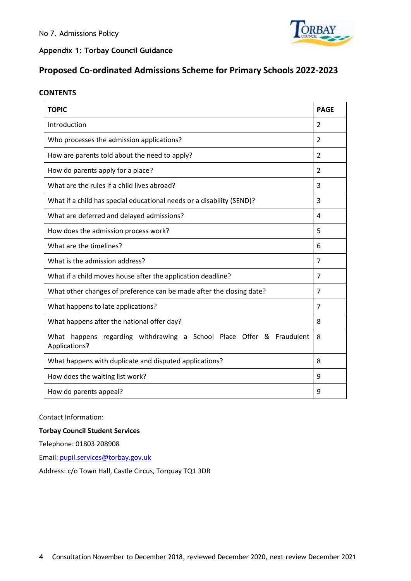

**Appendix 1: Torbay Council Guidance**

# **Proposed Co-ordinated Admissions Scheme for Primary Schools 2022-2023**

## **CONTENTS**

| <b>TOPIC</b>                                                                          | <b>PAGE</b>              |
|---------------------------------------------------------------------------------------|--------------------------|
| Introduction                                                                          | $\mathcal{P}$            |
| Who processes the admission applications?                                             | $\overline{\phantom{a}}$ |
| How are parents told about the need to apply?                                         | $\overline{\phantom{a}}$ |
| How do parents apply for a place?                                                     | $\overline{\phantom{a}}$ |
| What are the rules if a child lives abroad?                                           | 3                        |
| What if a child has special educational needs or a disability (SEND)?                 | 3                        |
| What are deferred and delayed admissions?                                             | 4                        |
| How does the admission process work?                                                  | 5                        |
| What are the timelines?                                                               | 6                        |
| What is the admission address?                                                        | $\overline{7}$           |
| What if a child moves house after the application deadline?                           |                          |
| What other changes of preference can be made after the closing date?                  |                          |
| What happens to late applications?                                                    | 7                        |
| What happens after the national offer day?                                            | 8                        |
| What happens regarding withdrawing a School Place Offer & Fraudulent<br>Applications? | 8                        |
| What happens with duplicate and disputed applications?                                | 8                        |
| How does the waiting list work?                                                       | 9                        |
| How do parents appeal?                                                                | 9                        |

#### Contact Information:

#### **Torbay Council Student Services**

Telephone: 01803 208908

Email[: pupil.services@torbay.gov.uk](mailto:pupil.services@torbay.gov.uk)

Address: c/o Town Hall, Castle Circus, Torquay TQ1 3DR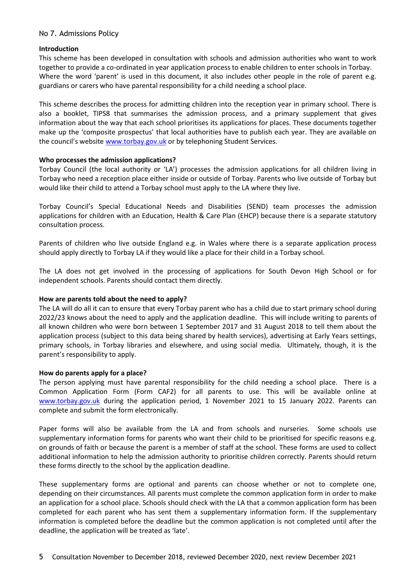#### **Introduction**

This scheme has been developed in consultation with schools and admission authorities who want to work together to provide a co-ordinated in year application process to enable children to enter schools in Torbay. Where the word 'parent' is used in this document, it also includes other people in the role of parent e.g. guardians or carers who have parental responsibility for a child needing a school place.

This scheme describes the process for admitting children into the reception year in primary school. There is also a booklet, TIPS8 that summarises the admission process, and a primary supplement that gives information about the way that each school prioritises its applications for places. These documents together make up the 'composite prospectus' that local authorities have to publish each year. They are available on the council's website [www.torbay.gov.uk](http://www.torbay.gov.uk/) or by telephoning Student Services.

## **Who processes the admission applications?**

Torbay Council (the local authority or 'LA') processes the admission applications for all children living in Torbay who need a reception place either inside or outside of Torbay. Parents who live outside of Torbay but would like their child to attend a Torbay school must apply to the LA where they live.

Torbay Council's Special Educational Needs and Disabilities (SEND) team processes the admission applications for children with an Education, Health & Care Plan (EHCP) because there is a separate statutory consultation process.

Parents of children who live outside England e.g. in Wales where there is a separate application process should apply directly to Torbay LA if they would like a place for their child in a Torbay school.

The LA does not get involved in the processing of applications for South Devon High School or for independent schools. Parents should contact them directly.

# **How are parents told about the need to apply?**

The LA will do all it can to ensure that every Torbay parent who has a child due to start primary school during 2022/23 knows about the need to apply and the application deadline. This will include writing to parents of all known children who were born between 1 September 2017 and 31 August 2018 to tell them about the application process (subject to this data being shared by health services), advertising at Early Years settings, primary schools, in Torbay libraries and elsewhere, and using social media. Ultimately, though, it is the parent's responsibility to apply.

#### **How do parents apply for a place?**

The person applying must have parental responsibility for the child needing a school place. There is a Common Application Form (Form CAF2) for all parents to use. This will be available online at [www.torbay.gov.uk](http://www.torbay.gov.uk/) during the application period, 1 November 2021 to 15 January 2022. Parents can complete and submit the form electronically.

Paper forms will also be available from the LA and from schools and nurseries. Some schools use supplementary information forms for parents who want their child to be prioritised for specific reasons e.g. on grounds of faith or because the parent is a member of staff at the school. These forms are used to collect additional information to help the admission authority to prioritise children correctly. Parents should return these forms directly to the school by the application deadline.

These supplementary forms are optional and parents can choose whether or not to complete one, depending on their circumstances. All parents must complete the common application form in order to make an application for a school place. Schools should check with the LA that a common application form has been completed for each parent who has sent them a supplementary information form. If the supplementary information is completed before the deadline but the common application is not completed until after the deadline, the application will be treated as 'late'.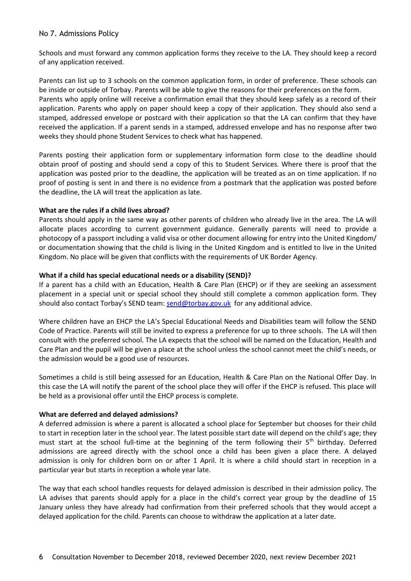Schools and must forward any common application forms they receive to the LA. They should keep a record of any application received.

Parents can list up to 3 schools on the common application form, in order of preference. These schools can be inside or outside of Torbay. Parents will be able to give the reasons for their preferences on the form. Parents who apply online will receive a confirmation email that they should keep safely as a record of their application. Parents who apply on paper should keep a copy of their application. They should also send a stamped, addressed envelope or postcard with their application so that the LA can confirm that they have received the application. If a parent sends in a stamped, addressed envelope and has no response after two weeks they should phone Student Services to check what has happened.

Parents posting their application form or supplementary information form close to the deadline should obtain proof of posting and should send a copy of this to Student Services. Where there is proof that the application was posted prior to the deadline, the application will be treated as an on time application. If no proof of posting is sent in and there is no evidence from a postmark that the application was posted before the deadline, the LA will treat the application as late.

#### **What are the rules if a child lives abroad?**

Parents should apply in the same way as other parents of children who already live in the area. The LA will allocate places according to current government guidance. Generally parents will need to provide a photocopy of a passport including a valid visa or other document allowing for entry into the United Kingdom/ or documentation showing that the child is living in the United Kingdom and is entitled to live in the United Kingdom. No place will be given that conflicts with the requirements of UK Border Agency.

## **What if a child has special educational needs or a disability (SEND)?**

If a parent has a child with an Education, Health & Care Plan (EHCP) or if they are seeking an assessment placement in a special unit or special school they should still complete a common application form. They should also contact Torbay's SEND team: [send@torbay.gov.uk](mailto:send@torbay.gov.uk) for any additional advice.

Where children have an EHCP the LA's Special Educational Needs and Disabilities team will follow the SEND Code of Practice. Parents will still be invited to express a preference for up to three schools. The LA will then consult with the preferred school. The LA expects that the school will be named on the Education, Health and Care Plan and the pupil will be given a place at the school unless the school cannot meet the child's needs, or the admission would be a good use of resources.

Sometimes a child is still being assessed for an Education, Health & Care Plan on the National Offer Day. In this case the LA will notify the parent of the school place they will offer if the EHCP is refused. This place will be held as a provisional offer until the EHCP process is complete.

#### **What are deferred and delayed admissions?**

A deferred admission is where a parent is allocated a school place for September but chooses for their child to start in reception later in the school year. The latest possible start date will depend on the child's age; they must start at the school full-time at the beginning of the term following their  $5<sup>th</sup>$  birthday. Deferred admissions are agreed directly with the school once a child has been given a place there. A delayed admission is only for children born on or after 1 April. It is where a child should start in reception in a particular year but starts in reception a whole year late.

The way that each school handles requests for delayed admission is described in their admission policy. The LA advises that parents should apply for a place in the child's correct year group by the deadline of 15 January unless they have already had confirmation from their preferred schools that they would accept a delayed application for the child. Parents can choose to withdraw the application at a later date.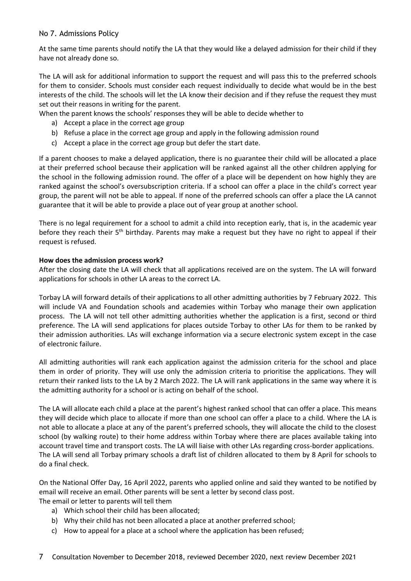At the same time parents should notify the LA that they would like a delayed admission for their child if they have not already done so.

The LA will ask for additional information to support the request and will pass this to the preferred schools for them to consider. Schools must consider each request individually to decide what would be in the best interests of the child. The schools will let the LA know their decision and if they refuse the request they must set out their reasons in writing for the parent.

When the parent knows the schools' responses they will be able to decide whether to

- a) Accept a place in the correct age group
- b) Refuse a place in the correct age group and apply in the following admission round
- c) Accept a place in the correct age group but defer the start date.

If a parent chooses to make a delayed application, there is no guarantee their child will be allocated a place at their preferred school because their application will be ranked against all the other children applying for the school in the following admission round. The offer of a place will be dependent on how highly they are ranked against the school's oversubscription criteria. If a school can offer a place in the child's correct year group, the parent will not be able to appeal. If none of the preferred schools can offer a place the LA cannot guarantee that it will be able to provide a place out of year group at another school.

There is no legal requirement for a school to admit a child into reception early, that is, in the academic year before they reach their 5<sup>th</sup> birthday. Parents may make a request but they have no right to appeal if their request is refused.

#### **How does the admission process work?**

After the closing date the LA will check that all applications received are on the system. The LA will forward applications for schools in other LA areas to the correct LA.

Torbay LA will forward details of their applications to all other admitting authorities by 7 February 2022. This will include VA and Foundation schools and academies within Torbay who manage their own application process. The LA will not tell other admitting authorities whether the application is a first, second or third preference. The LA will send applications for places outside Torbay to other LAs for them to be ranked by their admission authorities. LAs will exchange information via a secure electronic system except in the case of electronic failure.

All admitting authorities will rank each application against the admission criteria for the school and place them in order of priority. They will use only the admission criteria to prioritise the applications. They will return their ranked lists to the LA by 2 March 2022. The LA will rank applications in the same way where it is the admitting authority for a school or is acting on behalf of the school.

The LA will allocate each child a place at the parent's highest ranked school that can offer a place. This means they will decide which place to allocate if more than one school can offer a place to a child. Where the LA is not able to allocate a place at any of the parent's preferred schools, they will allocate the child to the closest school (by walking route) to their home address within Torbay where there are places available taking into account travel time and transport costs. The LA will liaise with other LAs regarding cross-border applications. The LA will send all Torbay primary schools a draft list of children allocated to them by 8 April for schools to do a final check.

On the National Offer Day, 16 April 2022, parents who applied online and said they wanted to be notified by email will receive an email. Other parents will be sent a letter by second class post. The email or letter to parents will tell them

- a) Which school their child has been allocated;
- b) Why their child has not been allocated a place at another preferred school;
- c) How to appeal for a place at a school where the application has been refused;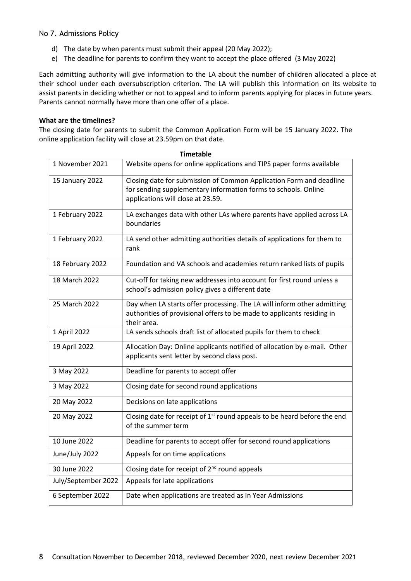- d) The date by when parents must submit their appeal (20 May 2022);
- e) The deadline for parents to confirm they want to accept the place offered (3 May 2022)

Each admitting authority will give information to the LA about the number of children allocated a place at their school under each oversubscription criterion. The LA will publish this information on its website to assist parents in deciding whether or not to appeal and to inform parents applying for places in future years. Parents cannot normally have more than one offer of a place.

#### **What are the timelines?**

The closing date for parents to submit the Common Application Form will be 15 January 2022. The online application facility will close at 23.59pm on that date.

| 1 IIII clawic       |                                                                                                                                                                            |  |
|---------------------|----------------------------------------------------------------------------------------------------------------------------------------------------------------------------|--|
| 1 November 2021     | Website opens for online applications and TIPS paper forms available                                                                                                       |  |
| 15 January 2022     | Closing date for submission of Common Application Form and deadline<br>for sending supplementary information forms to schools. Online<br>applications will close at 23.59. |  |
| 1 February 2022     | LA exchanges data with other LAs where parents have applied across LA<br>boundaries                                                                                        |  |
| 1 February 2022     | LA send other admitting authorities details of applications for them to<br>rank                                                                                            |  |
| 18 February 2022    | Foundation and VA schools and academies return ranked lists of pupils                                                                                                      |  |
| 18 March 2022       | Cut-off for taking new addresses into account for first round unless a<br>school's admission policy gives a different date                                                 |  |
| 25 March 2022       | Day when LA starts offer processing. The LA will inform other admitting<br>authorities of provisional offers to be made to applicants residing in<br>their area.           |  |
| 1 April 2022        | LA sends schools draft list of allocated pupils for them to check                                                                                                          |  |
| 19 April 2022       | Allocation Day: Online applicants notified of allocation by e-mail. Other<br>applicants sent letter by second class post.                                                  |  |
| 3 May 2022          | Deadline for parents to accept offer                                                                                                                                       |  |
| 3 May 2022          | Closing date for second round applications                                                                                                                                 |  |
| 20 May 2022         | Decisions on late applications                                                                                                                                             |  |
| 20 May 2022         | Closing date for receipt of 1 <sup>st</sup> round appeals to be heard before the end<br>of the summer term                                                                 |  |
| 10 June 2022        | Deadline for parents to accept offer for second round applications                                                                                                         |  |
| June/July 2022      | Appeals for on time applications                                                                                                                                           |  |
| 30 June 2022        | Closing date for receipt of 2 <sup>nd</sup> round appeals                                                                                                                  |  |
| July/September 2022 | Appeals for late applications                                                                                                                                              |  |
| 6 September 2022    | Date when applications are treated as In Year Admissions                                                                                                                   |  |

**Timetable**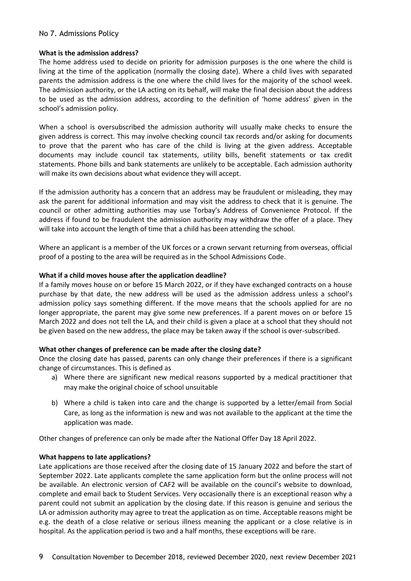#### **What is the admission address?**

The home address used to decide on priority for admission purposes is the one where the child is living at the time of the application (normally the closing date). Where a child lives with separated parents the admission address is the one where the child lives for the majority of the school week. The admission authority, or the LA acting on its behalf, will make the final decision about the address to be used as the admission address, according to the definition of 'home address' given in the school's admission policy.

When a school is oversubscribed the admission authority will usually make checks to ensure the given address is correct. This may involve checking council tax records and/or asking for documents to prove that the parent who has care of the child is living at the given address. Acceptable documents may include council tax statements, utility bills, benefit statements or tax credit statements. Phone bills and bank statements are unlikely to be acceptable. Each admission authority will make its own decisions about what evidence they will accept.

If the admission authority has a concern that an address may be fraudulent or misleading, they may ask the parent for additional information and may visit the address to check that it is genuine. The council or other admitting authorities may use Torbay's Address of Convenience Protocol. If the address if found to be fraudulent the admission authority may withdraw the offer of a place. They will take into account the length of time that a child has been attending the school.

Where an applicant is a member of the UK forces or a crown servant returning from overseas, official proof of a posting to the area will be required as in the School Admissions Code.

## **What if a child moves house after the application deadline?**

If a family moves house on or before 15 March 2022, or if they have exchanged contracts on a house purchase by that date, the new address will be used as the admission address unless a school's admission policy says something different. If the move means that the schools applied for are no longer appropriate, the parent may give some new preferences. If a parent moves on or before 15 March 2022 and does not tell the LA, and their child is given a place at a school that they should not be given based on the new address, the place may be taken away if the school is over-subscribed.

#### **What other changes of preference can be made after the closing date?**

Once the closing date has passed, parents can only change their preferences if there is a significant change of circumstances. This is defined as

- a) Where there are significant new medical reasons supported by a medical practitioner that may make the original choice of school unsuitable
- b) Where a child is taken into care and the change is supported by a letter/email from Social Care, as long as the information is new and was not available to the applicant at the time the application was made.

Other changes of preference can only be made after the National Offer Day 18 April 2022.

# **What happens to late applications?**

Late applications are those received after the closing date of 15 January 2022 and before the start of September 2022. Late applicants complete the same application form but the online process will not be available. An electronic version of CAF2 will be available on the council's website to download, complete and email back to Student Services. Very occasionally there is an exceptional reason why a parent could not submit an application by the closing date. If this reason is genuine and serious the LA or admission authority may agree to treat the application as on time. Acceptable reasons might be e.g. the death of a close relative or serious illness meaning the applicant or a close relative is in hospital. As the application period is two and a half months, these exceptions will be rare.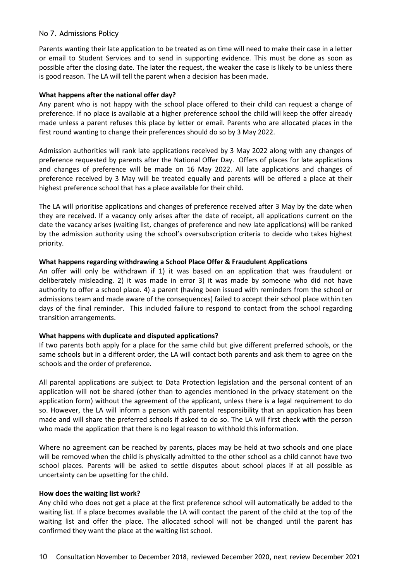Parents wanting their late application to be treated as on time will need to make their case in a letter or email to Student Services and to send in supporting evidence. This must be done as soon as possible after the closing date. The later the request, the weaker the case is likely to be unless there is good reason. The LA will tell the parent when a decision has been made.

#### **What happens after the national offer day?**

Any parent who is not happy with the school place offered to their child can request a change of preference. If no place is available at a higher preference school the child will keep the offer already made unless a parent refuses this place by letter or email. Parents who are allocated places in the first round wanting to change their preferences should do so by 3 May 2022.

Admission authorities will rank late applications received by 3 May 2022 along with any changes of preference requested by parents after the National Offer Day. Offers of places for late applications and changes of preference will be made on 16 May 2022. All late applications and changes of preference received by 3 May will be treated equally and parents will be offered a place at their highest preference school that has a place available for their child.

The LA will prioritise applications and changes of preference received after 3 May by the date when they are received. If a vacancy only arises after the date of receipt, all applications current on the date the vacancy arises (waiting list, changes of preference and new late applications) will be ranked by the admission authority using the school's oversubscription criteria to decide who takes highest priority.

## **What happens regarding withdrawing a School Place Offer & Fraudulent Applications**

An offer will only be withdrawn if 1) it was based on an application that was fraudulent or deliberately misleading. 2) it was made in error 3) it was made by someone who did not have authority to offer a school place. 4) a parent (having been issued with reminders from the school or admissions team and made aware of the consequences) failed to accept their school place within ten days of the final reminder. This included failure to respond to contact from the school regarding transition arrangements.

#### **What happens with duplicate and disputed applications?**

If two parents both apply for a place for the same child but give different preferred schools, or the same schools but in a different order, the LA will contact both parents and ask them to agree on the schools and the order of preference.

All parental applications are subject to Data Protection legislation and the personal content of an application will not be shared (other than to agencies mentioned in the privacy statement on the application form) without the agreement of the applicant, unless there is a legal requirement to do so. However, the LA will inform a person with parental responsibility that an application has been made and will share the preferred schools if asked to do so. The LA will first check with the person who made the application that there is no legal reason to withhold this information.

Where no agreement can be reached by parents, places may be held at two schools and one place will be removed when the child is physically admitted to the other school as a child cannot have two school places. Parents will be asked to settle disputes about school places if at all possible as uncertainty can be upsetting for the child.

#### **How does the waiting list work?**

Any child who does not get a place at the first preference school will automatically be added to the waiting list. If a place becomes available the LA will contact the parent of the child at the top of the waiting list and offer the place. The allocated school will not be changed until the parent has confirmed they want the place at the waiting list school.